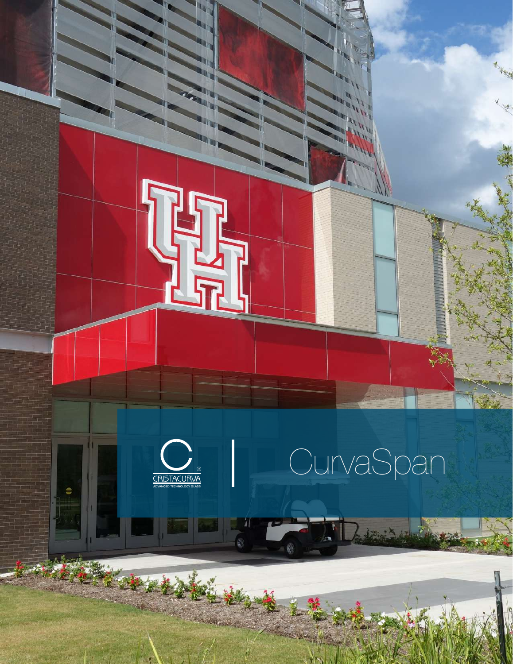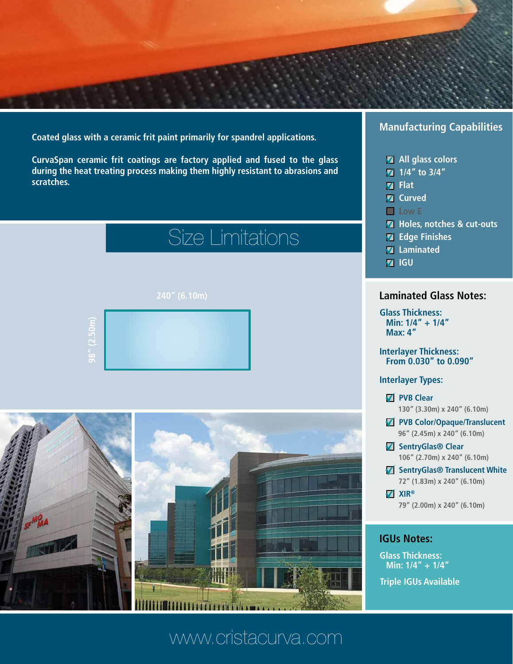

**Coated glass with a ceramic frit paint primarily for spandrel applications.**

**CurvaSpan ceramic frit coatings are factory applied and fused to the glass during the heat treating process making them highly resistant to abrasions and scratches.**

# Size Limitations





# **Manufacturing Capabilities**

- **All glass colors**
- **1/4" to 3/4"**
- **Flat**
- **Z** Curved
- **Low E**
- **Holes, notches & cut-outs**
- **M** Edge Finishes
- **Z** Laminated
- **Z** IGU

### **Laminated Glass Notes:**

**Min: 1/4" + 1/4" Max: 4" Glass Thickness:**

#### **Interlayer Thickness: From 0.030" to 0.090"**

#### **Interlayer Types:**

- **Z** PVB Clear **130" (3.30m) x 240" (6.10m)**
- **PVB Color/Opaque/Translucent**
- **96" (2.45m) x 240" (6.10m)**
- **SentryGlas® Clear 106" (2.70m) x 240" (6.10m)**
- **SentryGlas<sup>®</sup> Translucent White 72" (1.83m) x 240" (6.10m)**
- **XIR®**

# **79" (2.00m) x 240" (6.10m)**

## **IGUs Notes:**

**Glass Thickness: Min: 1/4" + 1/4"**

**Triple IGUs Available**

# www.cristacurva.com